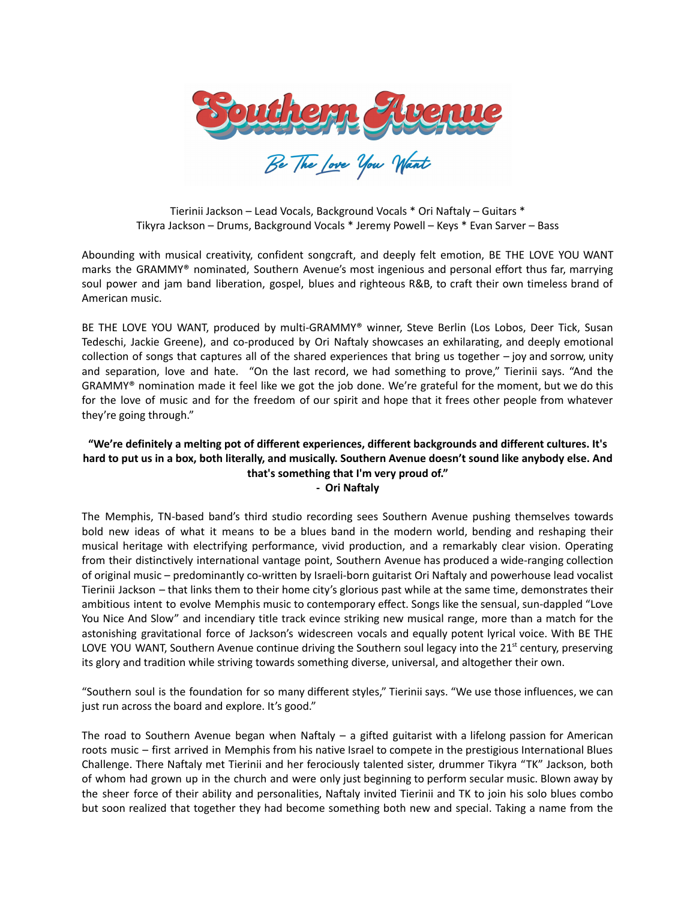

Tierinii Jackson – Lead Vocals, Background Vocals \* Ori Naftaly – Guitars \* Tikyra Jackson – Drums, Background Vocals \* Jeremy Powell – Keys \* Evan Sarver – Bass

Abounding with musical creativity, confident songcraft, and deeply felt emotion, BE THE LOVE YOU WANT marks the GRAMMY® nominated, Southern Avenue's most ingenious and personal effort thus far, marrying soul power and jam band liberation, gospel, blues and righteous R&B, to craft their own timeless brand of American music.

BE THE LOVE YOU WANT, produced by multi-GRAMMY® winner, Steve Berlin (Los Lobos, Deer Tick, Susan Tedeschi, Jackie Greene), and co-produced by Ori Naftaly showcases an exhilarating, and deeply emotional collection of songs that captures all of the shared experiences that bring us together – joy and sorrow, unity and separation, love and hate. "On the last record, we had something to prove," Tierinii says. "And the GRAMMY® nomination made it feel like we got the job done. We're grateful for the moment, but we do this for the love of music and for the freedom of our spirit and hope that it frees other people from whatever they're going through."

## **"We're definitely a melting pot of different experiences, different backgrounds and different cultures. It's hard to put us in a box, both literally, and musically. Southern Avenue doesn't sound like anybody else. And that's something that I'm very proud of." - Ori Naftaly**

The Memphis, TN-based band's third studio recording sees Southern Avenue pushing themselves towards bold new ideas of what it means to be a blues band in the modern world, bending and reshaping their musical heritage with electrifying performance, vivid production, and a remarkably clear vision. Operating from their distinctively international vantage point, Southern Avenue has produced a wide-ranging collection of original music – predominantly co-written by Israeli-born guitarist Ori Naftaly and powerhouse lead vocalist Tierinii Jackson – that links them to their home city's glorious past while at the same time, demonstrates their ambitious intent to evolve Memphis music to contemporary effect. Songs like the sensual, sun-dappled "Love You Nice And Slow" and incendiary title track evince striking new musical range, more than a match for the astonishing gravitational force of Jackson's widescreen vocals and equally potent lyrical voice. With BE THE LOVE YOU WANT, Southern Avenue continue driving the Southern soul legacy into the 21 $^{\rm st}$  century, preserving its glory and tradition while striving towards something diverse, universal, and altogether their own.

"Southern soul is the foundation for so many different styles," Tierinii says. "We use those influences, we can just run across the board and explore. It's good."

The road to Southern Avenue began when Naftaly  $-$  a gifted guitarist with a lifelong passion for American roots music – first arrived in Memphis from his native Israel to compete in the prestigious International Blues Challenge. There Naftaly met Tierinii and her ferociously talented sister, drummer Tikyra "TK" Jackson, both of whom had grown up in the church and were only just beginning to perform secular music. Blown away by the sheer force of their ability and personalities, Naftaly invited Tierinii and TK to join his solo blues combo but soon realized that together they had become something both new and special. Taking a name from the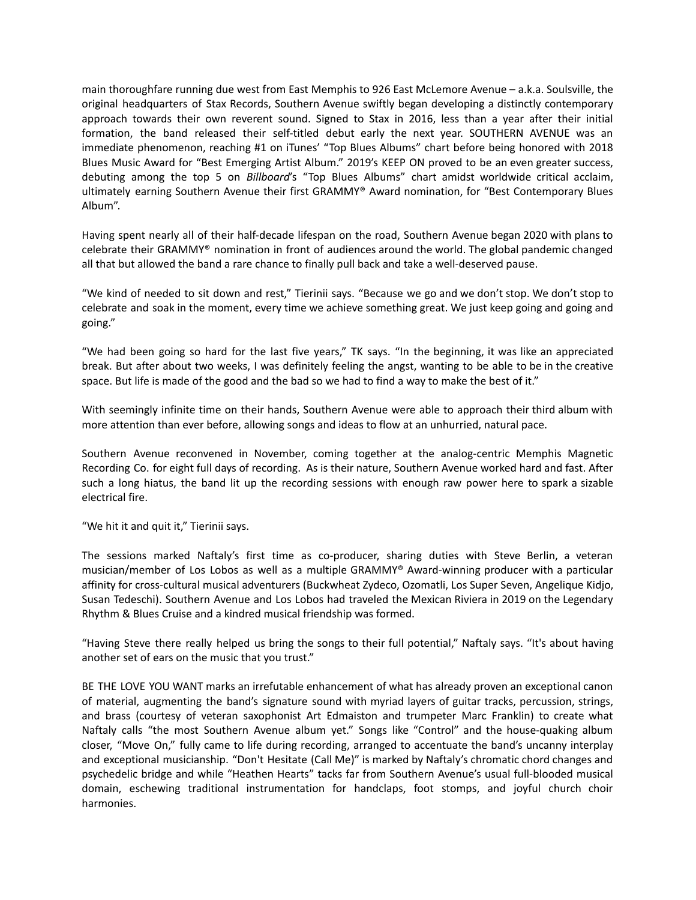main thoroughfare running due west from East Memphis to 926 East McLemore Avenue – a.k.a. Soulsville, the original headquarters of Stax Records, Southern Avenue swiftly began developing a distinctly contemporary approach towards their own reverent sound. Signed to Stax in 2016, less than a year after their initial formation, the band released their self-titled debut early the next year. SOUTHERN AVENUE was an immediate phenomenon, reaching #1 on iTunes' "Top Blues Albums" chart before being honored with 2018 Blues Music Award for "Best Emerging Artist Album." 2019's KEEP ON proved to be an even greater success, debuting among the top 5 on *Billboard*'s "Top Blues Albums" chart amidst worldwide critical acclaim, ultimately earning Southern Avenue their first GRAMMY® Award nomination, for "Best Contemporary Blues Album".

Having spent nearly all of their half-decade lifespan on the road, Southern Avenue began 2020 with plans to celebrate their GRAMMY® nomination in front of audiences around the world. The global pandemic changed all that but allowed the band a rare chance to finally pull back and take a well-deserved pause.

"We kind of needed to sit down and rest," Tierinii says. "Because we go and we don't stop. We don't stop to celebrate and soak in the moment, every time we achieve something great. We just keep going and going and going."

"We had been going so hard for the last five years," TK says. "In the beginning, it was like an appreciated break. But after about two weeks, I was definitely feeling the angst, wanting to be able to be in the creative space. But life is made of the good and the bad so we had to find a way to make the best of it."

With seemingly infinite time on their hands, Southern Avenue were able to approach their third album with more attention than ever before, allowing songs and ideas to flow at an unhurried, natural pace.

Southern Avenue reconvened in November, coming together at the analog-centric Memphis Magnetic Recording Co. for eight full days of recording. As is their nature, Southern Avenue worked hard and fast. After such a long hiatus, the band lit up the recording sessions with enough raw power here to spark a sizable electrical fire.

"We hit it and quit it," Tierinii says.

The sessions marked Naftaly's first time as co-producer, sharing duties with Steve Berlin, a veteran musician/member of Los Lobos as well as a multiple GRAMMY® Award-winning producer with a particular affinity for cross-cultural musical adventurers (Buckwheat Zydeco, Ozomatli, Los Super Seven, Angelique Kidjo, Susan Tedeschi). Southern Avenue and Los Lobos had traveled the Mexican Riviera in 2019 on the Legendary Rhythm & Blues Cruise and a kindred musical friendship was formed.

"Having Steve there really helped us bring the songs to their full potential," Naftaly says. "It's about having another set of ears on the music that you trust."

BE THE LOVE YOU WANT marks an irrefutable enhancement of what has already proven an exceptional canon of material, augmenting the band's signature sound with myriad layers of guitar tracks, percussion, strings, and brass (courtesy of veteran saxophonist Art Edmaiston and trumpeter Marc Franklin) to create what Naftaly calls "the most Southern Avenue album yet." Songs like "Control" and the house-quaking album closer, "Move On," fully came to life during recording, arranged to accentuate the band's uncanny interplay and exceptional musicianship. "Don't Hesitate (Call Me)" is marked by Naftaly's chromatic chord changes and psychedelic bridge and while "Heathen Hearts" tacks far from Southern Avenue's usual full-blooded musical domain, eschewing traditional instrumentation for handclaps, foot stomps, and joyful church choir harmonies.